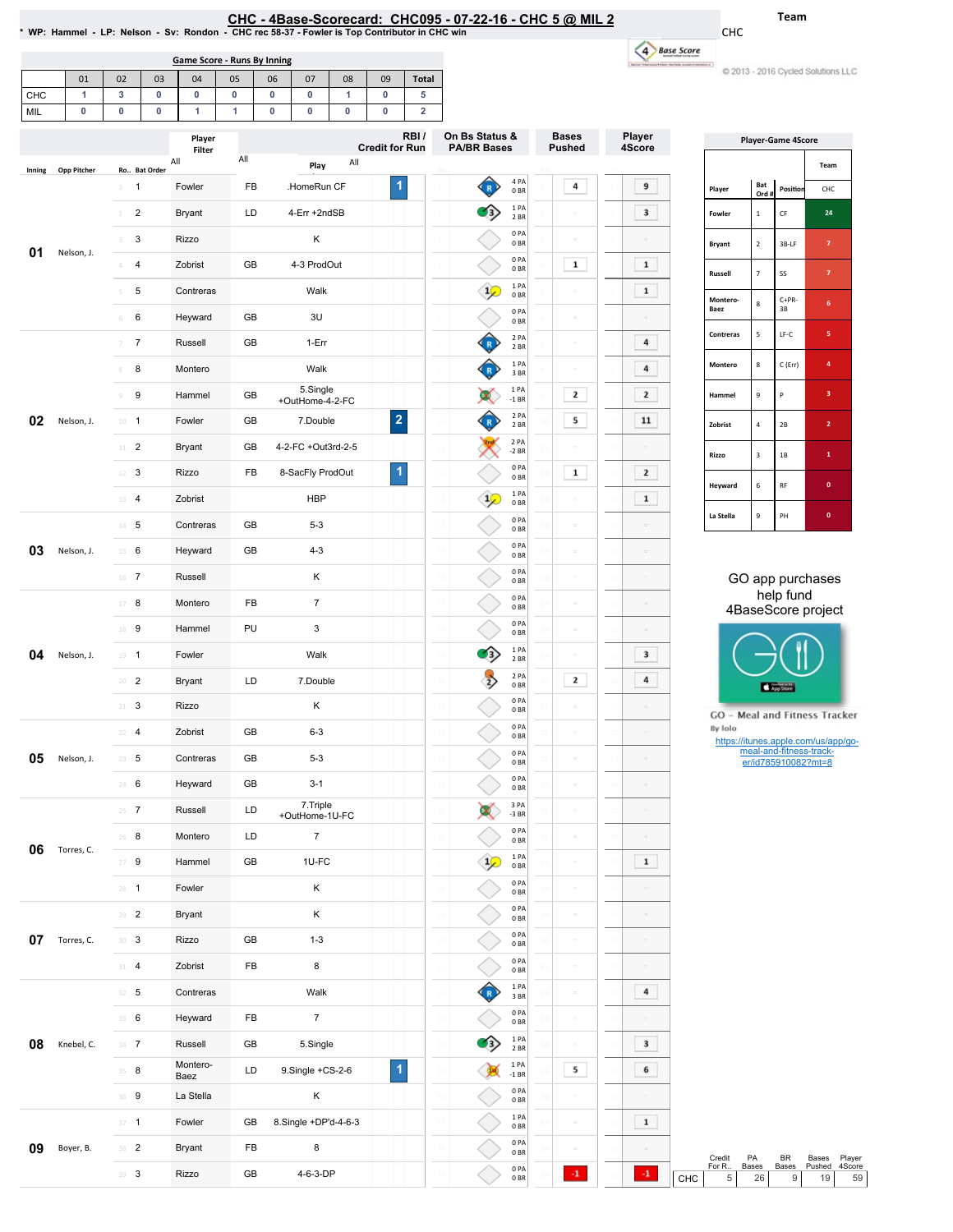## EHC-4Base-Scorecard: CHC095 - 07-22-16 - CHC 5 @ MIL 2<br>\* WP: Hammel - LP: Nelson - Sv: Rondon - CHC rec 58-37 - Fowler is Top Contributor in CHC win

01 | 02 | 03 | 04 | 05 | 06 | 07 | 08 | 09 | Total |

Game Score - Runs By Inning

 $\overline{C}$ 

Τ

Team

CHC

4 Base Score

u) C 2013 - 2016 Cycled Solutions LLC

Bases Pushed Player 4Score

| CHC<br>MIL       | 1<br>$\pmb{0}$                   | 3<br>$\mathbf 0$                 | 0<br>$\mathbf 0$ | 0<br>$\mathbf{1}$   | 0<br>$\mathbf{1}$                             | 0<br>$\pmb{0}$            | 0<br>0                        | 1<br>$\pmb{0}$                       | 0<br>5<br>$\mathbf 2$<br>0 |                               |                         |                                      |                   |                                                |                         |                                 |                         |  |
|------------------|----------------------------------|----------------------------------|------------------|---------------------|-----------------------------------------------|---------------------------|-------------------------------|--------------------------------------|----------------------------|-------------------------------|-------------------------|--------------------------------------|-------------------|------------------------------------------------|-------------------------|---------------------------------|-------------------------|--|
|                  |                                  | Player<br>Filter                 |                  |                     |                                               |                           | RBI/<br><b>Credit for Run</b> | On Bs Status &<br><b>PA/BR Bases</b> |                            | <b>Bases</b><br><b>Pushed</b> | Player<br>4Score        |                                      |                   | <b>Player-Game 4Score</b>                      |                         |                                 |                         |  |
| Inning           | <b>Opp Pitcher</b>               |                                  | Ro Bat Order     | All                 | All                                           |                           | Play                          | All                                  |                            |                               |                         |                                      |                   |                                                |                         |                                 | Team                    |  |
|                  |                                  | $\overline{1}$<br>$1 -$          |                  | Fowler              | FB                                            |                           | .HomeRun CF                   |                                      | $\blacktriangleleft$       | $\boldsymbol{\mathsf{R}}$     | 4 PA<br>0BR             | 4                                    | 9                 | Player                                         | Bat<br>Ord #            | Position                        | $\mathsf{CHC}$          |  |
|                  |                                  | $\overline{2}$<br>$\overline{2}$ |                  | <b>Bryant</b>       | LD                                            |                           | 4-Err +2ndSB                  |                                      |                            | G3)                           | 1PA<br>2 BR             | $\sim$                               | 3                 | Fowler                                         | $\,1\,$                 | CF                              | ${\bf 24}$              |  |
| 01               | Nelson, J.                       | $\mathsf 3$<br>$_{3}$            |                  | Rizzo               |                                               |                           | Κ                             |                                      |                            |                               | 0PA<br>0BR<br>0PA       | $\alpha$                             |                   | Bryant                                         | $\overline{2}$          | 3B-LF                           | $\overline{\textbf{z}}$ |  |
|                  | 4<br>$\triangle$                 |                                  | Zobrist          | GB                  |                                               | 4-3 ProdOut               |                               |                                      |                            | 0BR<br>1 PA                   | $\mathbf 1$             | $1\,$                                | Russell           | $\overline{7}$                                 | SS                      | $\mathbf{7}$                    |                         |  |
|                  |                                  | 5<br>5                           |                  | Contreras           |                                               |                           | Walk                          |                                      |                            | $\mathcal{P}$                 | 0 <sub>BR</sub><br>0PA  | $\sim$                               | $\mathbf 1$       | Montero-<br>Baez                               | $\bf 8$                 | $C+PR-$<br>3B                   | $\bf 6$                 |  |
|                  |                                  | 6<br>6                           |                  | Heyward             | GB                                            |                           | 3U                            |                                      |                            |                               | 0 <sub>BR</sub><br>2 PA | $\alpha$                             |                   | Contreras                                      | $\sqrt{5}$              | $LF-C$                          | 5                       |  |
|                  | $\overline{7}$<br>$\overline{7}$ |                                  | Russell          | GB                  |                                               | 1-Err                     |                               |                                      | R                          | 2 BR<br>1 PA                  | $\alpha$                | 4                                    | Montero           | $\bf 8$                                        | C (Err)                 | $\overline{\mathbf{4}}$         |                         |  |
|                  |                                  | 8<br>8<br>9                      |                  | Montero<br>Hammel   | GB                                            |                           | Walk<br>5.Single              |                                      |                            | $\mathbf R$                   | 3 BR<br>1 PA            | $\sim$<br>$\mathbf{z}$               | 4<br>$\mathbf{2}$ | Hammel                                         | $\mathsf g$             | P                               | $\mathbf{3}$            |  |
| 02               | Nelson, J.                       | 9<br>$10 - 1$                    |                  | Fowler              | GB                                            |                           | +OutHome-4-2-FC<br>7.Double   |                                      | $\overline{\mathbf{2}}$    | ×                             | $-1$ BR<br>2 PA         | 5                                    | 11                |                                                |                         |                                 |                         |  |
|                  |                                  | $11-2$                           |                  | <b>Bryant</b>       | GB                                            |                           | 4-2-FC +Out3rd-2-5            |                                      |                            | R                             | 2 BR<br>2 PA            |                                      |                   | Zobrist                                        | $\overline{4}$          | $2\mathsf{B}$                   | $\mathbf{2}$            |  |
|                  |                                  | $\mathbf{3}$<br>12               |                  | Rizzo               | FB                                            |                           | 8-SacFly ProdOut              |                                      | $\overline{1}$             |                               | $-2$ BR<br>0PA          | $\mathbf 1$                          | $\mathbf{2}$      | Rizzo                                          | $\overline{\mathbf{3}}$ | $1\mathsf{B}$                   | $\mathbf 1$             |  |
|                  |                                  | 13 4                             |                  | Zobrist             |                                               |                           | <b>HBP</b>                    |                                      |                            | $\frac{1}{2}$                 | 0 <sub>BR</sub><br>1 PA | $\alpha$                             | $\mathbf 1$       | Heyward                                        | $\sf 6$                 | RF                              | $\bullet$               |  |
|                  |                                  | $14 - 5$                         |                  | Contreras           | GB                                            |                           | $5 - 3$                       |                                      |                            |                               | 0 <sub>BR</sub><br>0PA  |                                      |                   | La Stella                                      | $\boldsymbol{9}$        | PH                              | $\mathbf 0$             |  |
| 03               | Nelson, J.                       | $15 \t 6$                        |                  | Heyward             | 0BR<br>0PA<br>GB<br>$4 - 3$<br>$\circ$<br>0BR |                           |                               |                                      |                            |                               |                         |                                      |                   |                                                |                         |                                 |                         |  |
|                  | $16$ 7                           |                                  | Russell          |                     |                                               | Κ                         |                               |                                      |                            | 0PA<br>0BR                    | $\alpha$                |                                      |                   |                                                | GO app purchases        |                                 |                         |  |
|                  |                                  | $17 - 8$                         |                  | Montero             | FB                                            |                           | $\overline{7}$                |                                      |                            |                               | 0PA<br>0 <sub>BR</sub>  | $\circ$                              |                   |                                                |                         | help fund<br>4BaseScore project |                         |  |
| 04<br>Nelson, J. | 18 9                             |                                  | Hammel           | PU                  |                                               | $\ensuremath{\mathsf{3}}$ |                               |                                      |                            | 0PA<br>0BR                    | $\equiv$                |                                      |                   |                                                |                         |                                 |                         |  |
|                  | $19 - 1$                         |                                  | Fowler           |                     |                                               | Walk                      |                               |                                      | 兮                          | 1 PA<br>2 BR                  |                         | 3                                    |                   |                                                |                         |                                 |                         |  |
|                  | $20 - 2$                         |                                  | <b>Bryant</b>    | LD                  |                                               | 7.Double                  |                               |                                      | $\rightarrow$              | 2 PA<br>0 <sub>BR</sub>       | $\mathbf{z}$            | 4                                    | App Store         |                                                |                         |                                 |                         |  |
|                  |                                  | $\mathbf{3}$<br>$21 -$           |                  | Rizzo               |                                               |                           | Κ                             |                                      |                            |                               | 0PA<br>0 <sub>BR</sub>  | $\bar{a}$                            |                   | GO - Meal and Fitness Tracker                  |                         |                                 |                         |  |
|                  |                                  | $22 - 4$                         |                  | Zobrist             | GB                                            |                           | $6 - 3$                       |                                      |                            |                               | 0PA<br>0 <sub>BR</sub>  | $\equiv$                             |                   | By lolo<br>https://itunes.apple.com/us/app/go- |                         |                                 |                         |  |
| 05               | Nelson, J.                       | $23 - 5$                         |                  | Contreras           | GB                                            |                           | $5 - 3$                       |                                      |                            |                               | 0PA<br>0 <sub>BR</sub>  |                                      |                   | meal-and-fitness-track-<br>er/id785910082?mt=8 |                         |                                 |                         |  |
|                  |                                  | 6<br>24                          |                  | Heyward             | GB                                            |                           | $3 - 1$                       |                                      |                            |                               | 0PA<br>0 <sub>BR</sub>  |                                      |                   |                                                |                         |                                 |                         |  |
|                  |                                  | $25 \t 7$                        |                  | Russell             | LD                                            |                           | 7. Triple<br>+OutHome-1U-FC   |                                      |                            | ×                             | 3 PA<br>$-3 BR$         | $\alpha$                             |                   |                                                |                         |                                 |                         |  |
| 06               | Torres, C.                       | $26$ 8                           |                  | Montero             | LD                                            |                           | $7^{\circ}$                   |                                      |                            |                               | 0PA<br>0 <sub>BR</sub>  | $\equiv$                             |                   |                                                |                         |                                 |                         |  |
|                  |                                  | $27 - 9$                         |                  | Hammel              | GB                                            |                           | 1U-FC                         |                                      |                            | $\mathcal{P}$                 | 1PA<br>0B               | $\circ$                              | $\mathbf{1}$      |                                                |                         |                                 |                         |  |
|                  |                                  | $28 - 1$                         |                  | Fowler              |                                               |                           | Κ                             |                                      |                            |                               | 0PA<br>$0\;\mathrm{BR}$ | $\equiv$                             |                   |                                                |                         |                                 |                         |  |
|                  |                                  | $29 - 2$                         |                  | Bryant              |                                               |                           | Κ                             |                                      |                            |                               | 0PA<br>0 <sub>BR</sub>  | $\equiv$                             |                   |                                                |                         |                                 |                         |  |
| 07               | Torres, C.                       | $30-3$                           |                  | Rizzo               | GB                                            |                           | $1 - 3$                       |                                      |                            |                               | 0PA<br>0 <sub>BR</sub>  | $\equiv$                             |                   |                                                |                         |                                 |                         |  |
|                  |                                  | $31 - 4$                         |                  | Zobrist             | FB                                            |                           | 8                             |                                      |                            |                               | 0 PA<br>0BR             | $\circ$                              |                   |                                                |                         |                                 |                         |  |
|                  |                                  | $32 - 5$                         |                  | Contreras           |                                               |                           | Walk                          |                                      |                            | R)                            | 1 PA<br>3 BR<br>0PA     | $\hskip10pt\hskip10pt\hskip10pt\Box$ | 4                 |                                                |                         |                                 |                         |  |
|                  |                                  | 33 6                             |                  | Heyward             | FB                                            |                           | $\overline{7}$                |                                      |                            |                               | 0B<br>1 PA              | $\circ$                              |                   |                                                |                         |                                 |                         |  |
| 08               | Knebel, C.                       | $34 - 7$                         |                  | Russell<br>Montero- | GB                                            |                           | 5.Single                      |                                      |                            | $\rightarrow$                 | 2 BR<br>1 PA            | $\hfill \square$                     | 3                 |                                                |                         |                                 |                         |  |
|                  |                                  | 35 8                             |                  | Baez                | LD                                            |                           | $9.$ Single +CS-2-6           |                                      | $\overline{1}$             |                               | $-1 BR$<br>0PA          | 5                                    | 6                 |                                                |                         |                                 |                         |  |
|                  |                                  | 36 9                             |                  | La Stella           |                                               |                           | Κ                             |                                      |                            |                               | 0B<br>1 PA              |                                      |                   |                                                |                         |                                 |                         |  |
|                  |                                  | $37 - 1$                         |                  | Fowler              | GB                                            |                           | 8.Single +DP'd-4-6-3          |                                      |                            |                               | 0 <sub>BR</sub><br>0PA  | $\bar{a}$                            | $\mathbf 1$       |                                                |                         |                                 |                         |  |
| 09               | Boyer, B.                        | 38 <sup>2</sup>                  |                  | Bryant              | FB                                            |                           | 8                             |                                      |                            |                               | 0 <sub>BR</sub><br>0PA  | $\circ$                              |                   | Credit<br>For R                                | PA<br>Bases             | BR<br>Bases                     | Bases<br>Pushed         |  |
|                  |                                  | $39$ 3                           |                  | Rizzo               | GB                                            |                           | 4-6-3-DP                      |                                      |                            |                               | $0\;\mathrm{BR}$        | $\cdot 1$                            | $\cdot 1$         | CHC<br>5                                       | 26                      | 9                               | 19                      |  |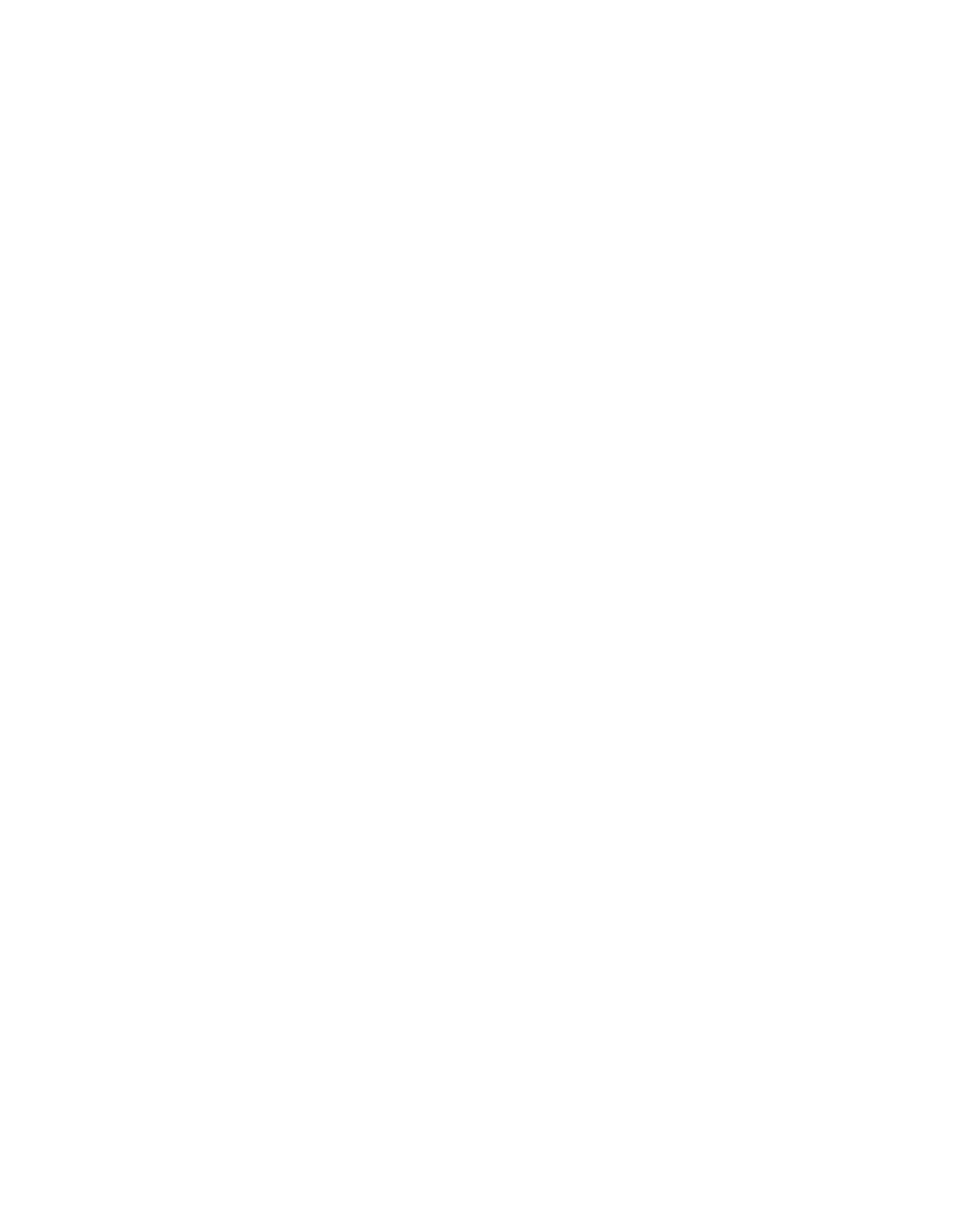|                                           |                 |             | ' u ^ } OEr Zuv• C/vv]vP       |                      |              |                  |                                   |                      |                |       |                 |         |         |                                     |                                        |                        |                                       |
|-------------------------------------------|-----------------|-------------|--------------------------------|----------------------|--------------|------------------|-----------------------------------|----------------------|----------------|-------|-----------------|---------|---------|-------------------------------------|----------------------------------------|------------------------|---------------------------------------|
| ìí                                        | ìî              | ìï          | ìð                             | ìñ                   | ìò           | ìó               |                                   | ìô                   | ìõ             | d}šo  |                 |         |         |                                     |                                        |                        |                                       |
| $8 + 8$<br>$0 \; , \;$                    |                 |             |                                |                      |              |                  |                                   |                      |                |       |                 |         |         |                                     |                                        |                        |                                       |
|                                           |                 |             | Wo Ç Œ                         |                      |              |                  |                                   |                      | & UHGLWIRU5 XQ | $5\%$ | 2 Q%V 6 VDWXV   | %DVHV   | 3 O NHU |                                     |                                        | WoÇŒ u ð^}Œ            |                                       |
| /vv]vP K‰W)\$Z0E                          |                 | Z} XX ŠKŒ C | &još Œ<br>$\pmb{\circledcirc}$ | $\pmb{\circledcirc}$ |              |                  | WoÇ                               | $\pmb{\circledcirc}$ |                |       | 3\$ %5 %DVHV    | 3 XVKHG | 6FRUH   |                                     |                                        |                        | d u                                   |
|                                           | í.              |             | ) RZ ONU                       |                      | ) %          |                  | $+$ RP H <sub>5</sub> XQ&)        |                      |                |       | ðW<br>$i$ Z     |         |         | Wol Ç Œ                             | KCE                                    | ۷ <b>y•</b> ]Ÿ}        | $\,$                                  |
|                                           | Î.              |             | <b>%UDOW</b>                   |                      | $\prime$ .   |                  | (W QG6%                           |                      |                |       | í W<br>$i$ Z    |         |         | &} Áo Œ                             | $\mathbf{r}$                           | &                      | îð                                    |
|                                           | $\top$          |             | $5 \,\sharp$ ]R                |                      |              |                  | $\sim$                            |                      |                |       | i W<br>$i$ Z    |         |         | 0ÇV Š                               | î                                      | ï r≫&                  | $\circ$                               |
| $E \Theta$ vUX                            | ð               |             | $=$ REUMV                      |                      | $*$ %        |                  | 3 URG2 XW                         |                      |                |       | i W<br>$i$ Z    |         |         | Zµ⊷ oo                              | ó                                      | $\mathsf{v}\mathsf{v}$ | $\circ$                               |
|                                           | ñ               |             | & ROWHUDV                      |                      |              |                  | : DON                             |                      |                |       | í W<br>$i$ Z    |         |         |                                     |                                        | =VZr                   |                                       |
|                                           | ò               |             | $+HZDUS$                       |                      | * %          |                  | 8                                 |                      |                |       | i W<br>$i$ Z    |         |         | D}všOEr<br>j                        | ô                                      | ï                      | $\circ$                               |
|                                           | ó               |             | 5 XVMO                         |                      | $*$ %        |                  | (W                                |                      |                |       | îW<br>î Z       |         |         | } všOEOE                            | ñ                                      | $>\!\!8$               | ñ.                                    |
|                                           | ô               |             | 0 RQMUR                        |                      |              |                  | $:$ DON                           |                      |                |       | i W<br>$i$ $z$  |         |         | D} vš Œ                             | ô                                      | $\sim$ OE              | ð                                     |
|                                           | $\tilde{\rm O}$ |             | $+DPPHO$                       |                      | $*$ %        |                  | $61QJ$ $\Theta$<br>$2$ XAMPPH $3$ |                      |                |       | í W<br>rí Z     |         |         | , uu o                              | õ                                      | W                      | $\mathbf{T}$                          |
| $E \Theta$ vUX                            | $-11$           |             | ) RZ ONU                       |                      | $*$ %        |                  | ' RXE®                            |                      |                |       | îW<br>$i$ Z     |         |         | $\bullet$ } Opš                     | ð                                      | $\hat{I}$              | $\  \cdot \ $                         |
|                                           | ff.             |             | %UDQW                          |                      | $*$ %        |                  | ) & 2 XMUG                        |                      |                |       | îW<br>rî Z      |         |         | zjì ì }                             | $\ddot{\text{I}}$                      | í                      | $\mathbf{I}$                          |
|                                           | íî              |             | 54]R                           |                      | ) %          |                  | 6 DF) © 3 URG2 XW                 |                      |                |       | ì W<br>$i$ Z    |         |         |                                     |                                        |                        | $\mathbf{1}$                          |
|                                           | íï              |             | $=$ REUMV                      |                      |              |                  | $+ \%3$                           |                      |                |       | í W<br>$i$ Z    |         |         | ÇÁŒ                                 | ò                                      | Z&                     |                                       |
|                                           | íð              |             | & ROWHUDV                      |                      | $*$ %        |                  |                                   |                      |                |       | i W<br>i Z      |         |         | > ^š @                              | õ                                      | W                      | $\mathbf{1}$                          |
| $E \theta$ vUX                            | íñ              |             | $+HZDUS$                       |                      | $*$ %        |                  |                                   |                      |                |       | ì W<br>$i$ Z    |         |         |                                     |                                        |                        |                                       |
|                                           | íò              |             | 5 XVMO                         |                      |              |                  | $\epsilon$                        |                      |                |       | i W<br>ìZ       |         |         |                                     |                                        |                        | * 2 DSS SXUFKDVHV                     |
|                                           | íó              |             | 0 ROMUR                        |                      | ) %          |                  |                                   |                      |                |       | i W<br>$i$ Z    |         |         |                                     | KHOS IXOG<br><b>YDVH6 FRUH SURWIFW</b> |                        |                                       |
|                                           | íô              |             | $+DPPHO$                       |                      | 38           |                  |                                   |                      |                |       | i W<br>$i$ Z    |         |         |                                     |                                        |                        |                                       |
| $E \theta$ vUX                            | íõ              |             | ) RZ ®IU                       |                      |              |                  | $:$ DON                           |                      |                |       | í W<br>$i$ Z    |         |         |                                     |                                        |                        |                                       |
|                                           | îì              |             | <b>%UDOW</b>                   |                      | $\prime$ .   |                  | ' RXE®                            |                      |                |       | îW<br>$i$ Z     |         |         |                                     |                                        |                        |                                       |
|                                           | îí              |             | $5 \,\sharp$ ]R                |                      |              |                  | $\sim$                            |                      |                |       | i W<br>$i$ Z    |         |         |                                     |                                        |                        |                                       |
|                                           | îî              |             | $=$ REUMV                      |                      | * %          |                  |                                   |                      |                |       | i W<br>$i$ Z    |         |         |                                     | KWASV LWACHVDSSOH FRP XVDSSJR          |                        |                                       |
| $E \theta$ vUX                            | $-11$           |             | & ROWHUDV                      |                      | $*$ %        |                  |                                   |                      |                |       | i W<br>$i$ Z    |         |         |                                     | <b>HUIG</b>                            | PHDODOG ILMOHAV WIDEN  | <u>"PW</u>                            |
|                                           | îŏ              |             | $+HZDUS$                       |                      | $^*$ %       |                  |                                   |                      |                |       | i W<br>i Z      |         |         |                                     |                                        |                        |                                       |
|                                           | îñ              |             | 5 XVMO                         | $\prime^+$           |              |                  | <b>7 ULSOH</b><br>2 XA/RPH 8 ) &  |                      |                |       | ïW<br>rï Z      |         |         |                                     |                                        |                        |                                       |
|                                           | îò              |             | 0 ROMUR                        |                      | $\prime$ '   |                  |                                   |                      |                |       | i W<br>$i$ Z    |         |         |                                     |                                        |                        |                                       |
| d} <b>OE-U</b> X                          | îó              |             | $+DPPHO$                       |                      | * %          |                  | 8)&                               |                      |                |       | í W<br>$i$ Z    |         |         |                                     |                                        |                        |                                       |
|                                           | îô              |             | ) RZ ONU                       |                      |              |                  | $\sim$                            |                      |                |       | i W<br>$i \, z$ |         |         |                                     |                                        |                        |                                       |
|                                           | ÎÕ              |             | <b>%UDOW</b>                   |                      |              |                  | $\epsilon$                        |                      |                |       | ìW<br>i Z       |         |         |                                     |                                        |                        |                                       |
| d} <b>OEE</b> ∙U X                        | $\top$          |             | 54]R                           |                      | * %          |                  |                                   |                      |                |       | ìW<br>$i$ Z     |         |         |                                     |                                        |                        |                                       |
|                                           | ΪĹ              |             | $=$ REUMV                      |                      | ) %          |                  |                                   |                      |                |       | i W<br>i Z      |         |         |                                     |                                        |                        |                                       |
|                                           | ΪÎ              |             | & ROWHUDV                      |                      |              |                  | : DON                             |                      |                |       | i W<br>$i$ Z    |         |         |                                     |                                        |                        |                                       |
|                                           | $\pm 1$         |             | $+HZDIB$                       |                      | ) %          |                  |                                   |                      |                |       | i W<br>i Z      |         |         |                                     |                                        |                        |                                       |
| ΦX<br>$\mathrel{\mathrel{\triangleleft}}$ | ïð              |             | 5 XVMO                         |                      | $^{\star}$ % |                  | $61QJ$ $\Theta$                   |                      |                |       | í W<br>î Z      |         |         |                                     |                                        |                        |                                       |
|                                           | īñ              |             | 0 ROMUR<br>%DHJ                |                      | $\prime$ .   | $61QJ$ $OH$ $86$ |                                   |                      |                |       | í W<br>rí Z     |         |         |                                     |                                        |                        |                                       |
|                                           | Ϊò              |             | /D6WKOD                        |                      |              |                  | $\sim$                            |                      |                |       | i W<br>i Z      |         |         |                                     |                                        |                        |                                       |
|                                           | ïó              |             | ) RZ ONU                       |                      | $^*$ %       | 6LQJOH '3G       |                                   |                      |                |       | í W<br>$i \, z$ |         |         |                                     |                                        |                        |                                       |
| $\}$ Ç OBX                                | ïô              |             | <b>%UDOW</b>                   |                      | ) %          |                  |                                   |                      |                |       | i W<br>$i$ Z    |         |         |                                     |                                        |                        |                                       |
|                                           | ΪÕ              |             | $5 \text{ H}$ R                |                      | $*$ %        |                  | '3                                |                      |                |       | ì W<br>$i$ Z    |         |         | &UHGLW 3\$<br>)RU5 %DVHV<br>$8 + 8$ |                                        |                        | %5 %DVHV 300\HU<br>%DVHV 3XVKHG 6FRUH |

 $d$  u

: 3 + DPPHO /3 1 HOMRO 6Y 5 ROGRO  $8 + 8$  //DVH6FRUHFDUG  $8 + 8$   $8 + 8$   $8 + 8$   $10$  /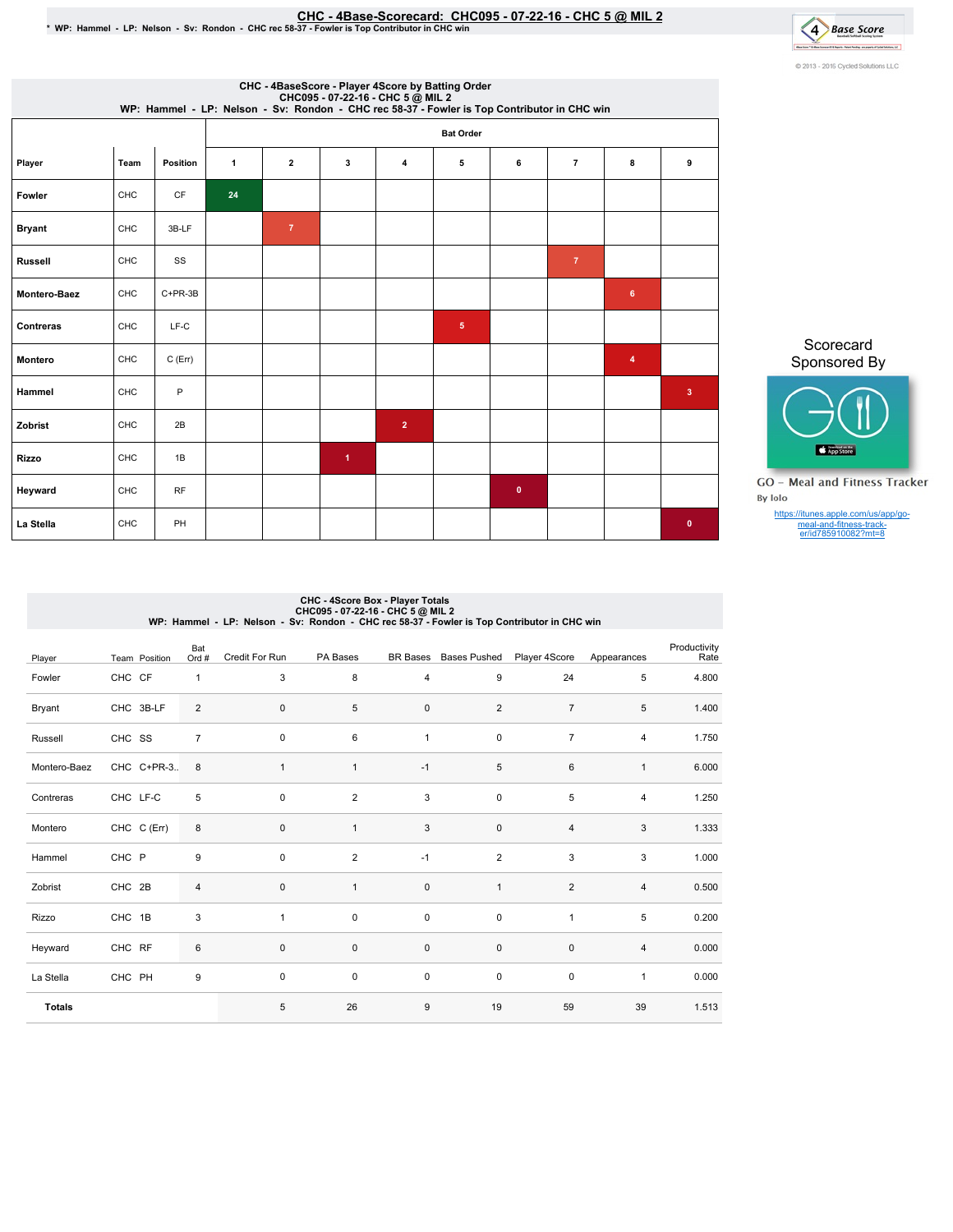## EHC-4Base-Scorecard: CHC095-07-22-16-CHC5@ MIL2<br>\* WP: Hammel - LP: Nelson - Sv: Rondon - CHC rec 58-37-Fowler is Top Contributor in CHC win



|                     | CHC - 4BaseScore - Player 4Score by Batting Order<br>CHC095 - 07-22-16 - CHC 5 @ MIL 2<br>WP: Hammel - LP: Nelson - Sv: Rondon - CHC rec 58-37 - Fowler is Top Contributor in CHC win |           |                  |                |                      |                     |            |              |                |                |           |  |  |  |
|---------------------|---------------------------------------------------------------------------------------------------------------------------------------------------------------------------------------|-----------|------------------|----------------|----------------------|---------------------|------------|--------------|----------------|----------------|-----------|--|--|--|
|                     |                                                                                                                                                                                       |           | <b>Bat Order</b> |                |                      |                     |            |              |                |                |           |  |  |  |
| Player              | Team                                                                                                                                                                                  | Position  | $\mathbf{1}$     | $\mathbf{2}$   | 3                    | $\overline{\bf{4}}$ | 5          | 6            | $\overline{7}$ | 8              | 9         |  |  |  |
| Fowler              | CHC                                                                                                                                                                                   | CF        | 24               |                |                      |                     |            |              |                |                |           |  |  |  |
| <b>Bryant</b>       | CHC                                                                                                                                                                                   | 3B-LF     |                  | $\overline{7}$ |                      |                     |            |              |                |                |           |  |  |  |
| Russell             | CHC                                                                                                                                                                                   | SS        |                  |                |                      |                     |            |              | $\overline{7}$ |                |           |  |  |  |
| <b>Montero-Baez</b> | CHC                                                                                                                                                                                   | C+PR-3B   |                  |                |                      |                     |            |              |                | 6              |           |  |  |  |
| Contreras           | CHC                                                                                                                                                                                   | $LF-C$    |                  |                |                      |                     | $\sqrt{5}$ |              |                |                |           |  |  |  |
| Montero             | CHC                                                                                                                                                                                   | $C$ (Err) |                  |                |                      |                     |            |              |                | $\overline{4}$ |           |  |  |  |
| Hammel              | CHC                                                                                                                                                                                   | P         |                  |                |                      |                     |            |              |                |                | 3         |  |  |  |
| Zobrist             | CHC                                                                                                                                                                                   | 2B        |                  |                |                      | $\overline{2}$      |            |              |                |                |           |  |  |  |
| Rizzo               | CHC                                                                                                                                                                                   | 1B        |                  |                | $\blacktriangleleft$ |                     |            |              |                |                |           |  |  |  |
| Heyward             | CHC                                                                                                                                                                                   | RF        |                  |                |                      |                     |            | $\mathbf{0}$ |                |                |           |  |  |  |
| La Stella           | CHC                                                                                                                                                                                   | PH        |                  |                |                      |                     |            |              |                |                | $\pmb{0}$ |  |  |  |





**GO** - Meal and Fitness Tracker By Iolo

https://itunes.apple.com/us/app/go-meal-and-fitness-track-er/id785910082?mt=8

# CHC - 4Score Box - Player Totals<br>CHC095 - 07-22-16 - CHC 69 - 07-22<br>WP: Hammel - LP: Nelson - Sv: Rondon - CHC rec 58-37 - Fowler is Top Contributor in CHC win

| Player        | Team Position | Bat<br>Ord #   | Credit For Run | PA Bases       | BR Bases       | <b>Bases Pushed</b> | Player 4Score  | Appearances    | Productivity<br>Rate |
|---------------|---------------|----------------|----------------|----------------|----------------|---------------------|----------------|----------------|----------------------|
| Fowler        | CHC CF        | $\mathbf{1}$   | 3              | 8              | $\overline{4}$ | 9                   | 24             | 5              | 4.800                |
| Bryant        | CHC 3B-LF     | $\overline{2}$ | $\mathbf 0$    | 5              | $\pmb{0}$      | $\overline{2}$      | $\overline{7}$ | $\,$ 5 $\,$    | 1.400                |
| Russell       | CHC SS        | $\overline{7}$ | 0              | 6              | 1              | $\pmb{0}$           | $\overline{7}$ | $\overline{4}$ | 1.750                |
| Montero-Baez  | CHC C+PR-3    | 8              | 1              | $\mathbf{1}$   | $-1$           | 5                   | 6              | $\mathbf{1}$   | 6.000                |
| Contreras     | CHC LF-C      | 5              | $\mathbf 0$    | 2              | 3              | $\mathsf 0$         | 5              | 4              | 1.250                |
| Montero       | CHC C (Err)   | 8              | 0              | $\mathbf{1}$   | 3              | $\mathsf 0$         | $\overline{4}$ | 3              | 1.333                |
| Hammel        | CHC P         | 9              | $\mathbf 0$    | $\overline{2}$ | $-1$           | $\overline{2}$      | 3              | 3              | 1.000                |
| Zobrist       | CHC 2B        | 4              | $\pmb{0}$      | 1              | $\pmb{0}$      | $\mathbf{1}$        | 2              | $\overline{4}$ | 0.500                |
| Rizzo         | CHC 1B        | 3              | $\mathbf{1}$   | $\pmb{0}$      | $\pmb{0}$      | $\pmb{0}$           | 1              | 5              | 0.200                |
| Heyward       | CHC RF        | 6              | 0              | $\pmb{0}$      | $\pmb{0}$      | $\mathsf 0$         | $\mathbf 0$    | $\sqrt{4}$     | 0.000                |
| La Stella     | CHC PH        | 9              | 0              | 0              | $\pmb{0}$      | $\pmb{0}$           | 0              | $\mathbf{1}$   | 0.000                |
| <b>Totals</b> |               |                | 5              | 26             | 9              | 19                  | 59             | 39             | 1.513                |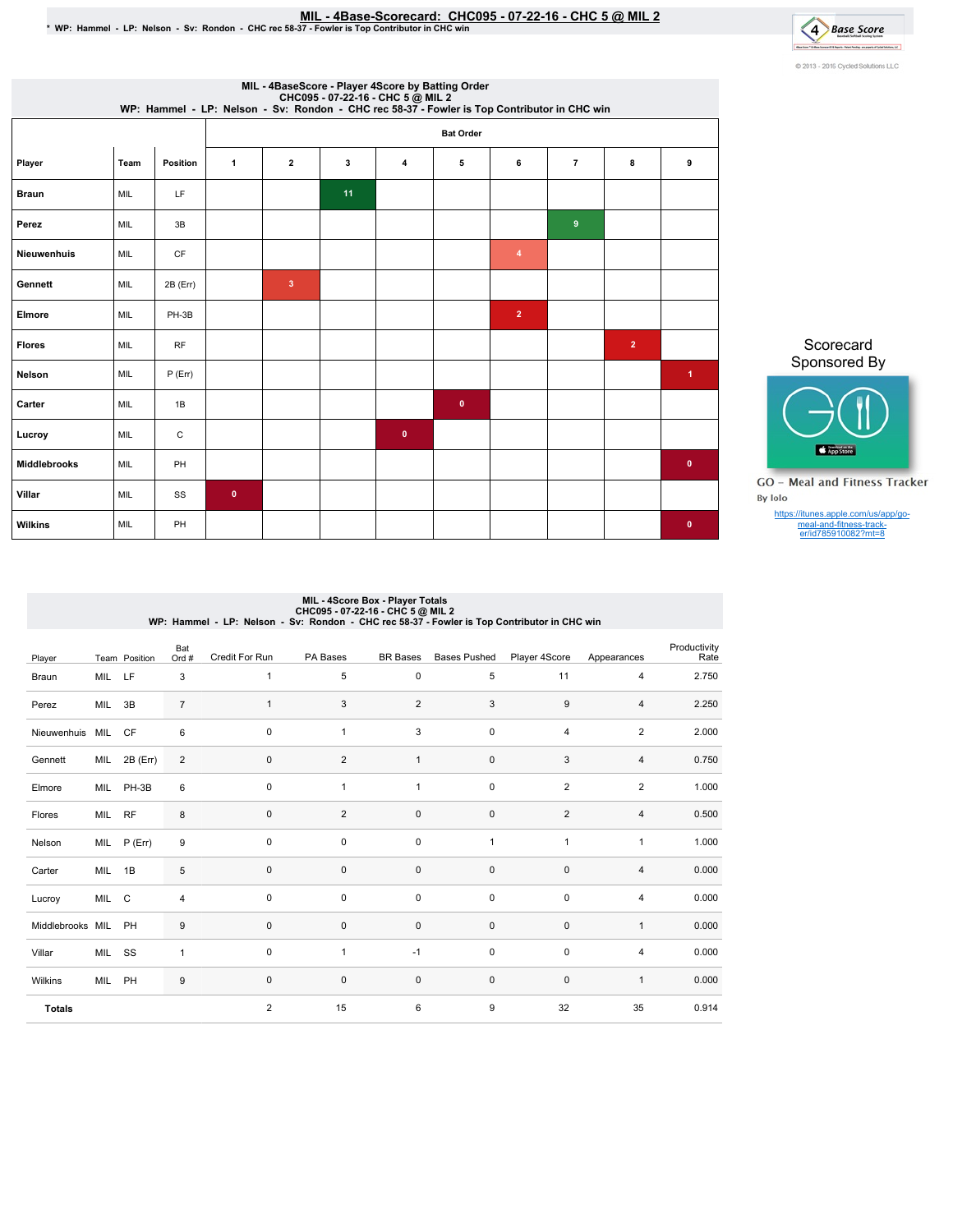## MIL - 4Base-Scorecard: CHC095 - 07-22-16 - CHC 5 @ MIL 2 يو MIL - 4Base-Scorecard: CHC095 - 07-22-16 - CHC 5 @ MIL<br>\* WP: Hammel - LP: Nelson - Sv: Rondon - CHC rec 58-37 - Fowler is Top Contributor in CHC win



|                     | MIL - 4BaseScore - Player 4Score by Batting Order<br>CHC095 - 07-22-16 - CHC 5 @ MIL 2<br>WP: Hammel - LP: Nelson - Sv: Rondon - CHC rec 58-37 - Fowler is Top Contributor in CHC win |              |                  |                         |    |           |              |                |                |                |                      |  |  |  |
|---------------------|---------------------------------------------------------------------------------------------------------------------------------------------------------------------------------------|--------------|------------------|-------------------------|----|-----------|--------------|----------------|----------------|----------------|----------------------|--|--|--|
|                     |                                                                                                                                                                                       |              | <b>Bat Order</b> |                         |    |           |              |                |                |                |                      |  |  |  |
| Player              | Team                                                                                                                                                                                  | Position     | 1                | $\mathbf{2}$            | 3  | 4         | 5            | 6              | $\overline{7}$ | 8              | 9                    |  |  |  |
| <b>Braun</b>        | MIL                                                                                                                                                                                   | LF           |                  |                         | 11 |           |              |                |                |                |                      |  |  |  |
| Perez               | MIL                                                                                                                                                                                   | 3B           |                  |                         |    |           |              |                | $\overline{9}$ |                |                      |  |  |  |
| <b>Nieuwenhuis</b>  | MIL                                                                                                                                                                                   | CF           |                  |                         |    |           |              | $\overline{4}$ |                |                |                      |  |  |  |
| Gennett             | MIL                                                                                                                                                                                   | 2B (Err)     |                  | $\overline{\mathbf{3}}$ |    |           |              |                |                |                |                      |  |  |  |
| Elmore              | <b>MIL</b>                                                                                                                                                                            | PH-3B        |                  |                         |    |           |              | $\overline{2}$ |                |                |                      |  |  |  |
| <b>Flores</b>       | MIL                                                                                                                                                                                   | RF           |                  |                         |    |           |              |                |                | $\overline{2}$ |                      |  |  |  |
| Nelson              | MIL                                                                                                                                                                                   | $P$ (Err)    |                  |                         |    |           |              |                |                |                | $\blacktriangleleft$ |  |  |  |
| Carter              | MIL                                                                                                                                                                                   | 1B           |                  |                         |    |           | $\mathbf{0}$ |                |                |                |                      |  |  |  |
| Lucroy              | MIL                                                                                                                                                                                   | $\mathsf{C}$ |                  |                         |    | $\bullet$ |              |                |                |                |                      |  |  |  |
| <b>Middlebrooks</b> | MIL                                                                                                                                                                                   | PH           |                  |                         |    |           |              |                |                |                | $\bullet$            |  |  |  |
| Villar              | MIL                                                                                                                                                                                   | SS           | $\bullet$        |                         |    |           |              |                |                |                |                      |  |  |  |
| <b>Wilkins</b>      | MIL                                                                                                                                                                                   | PH           |                  |                         |    |           |              |                |                |                | $\mathbf{0}$         |  |  |  |





**GO** - Meal and Fitness Tracker By Iolo



## MIL - 4Score Box - Player Totals<br>CHC095 - 07-22-16 - CHC 69 - 07-22<br>WP: Hammel - LP: Nelson - Sv: Rondon - CHC rec 58-37 - Fowler is Top Contributor in CHC win

| Player           |        | Team Position   | Bat<br>Ord #   | Credit For Run | PA Bases       | <b>BR</b> Bases | <b>Bases Pushed</b> | Player 4Score    | Appearances    | Productivity<br>Rate |
|------------------|--------|-----------------|----------------|----------------|----------------|-----------------|---------------------|------------------|----------------|----------------------|
| Braun            | MIL LF |                 | 3              | 1              | 5              | $\pmb{0}$       | 5                   | 11               | 4              | 2.750                |
| Perez            | MIL    | 3B              | $\overline{7}$ | $\mathbf{1}$   | 3              | $\overline{2}$  | 3                   | $\boldsymbol{9}$ | 4              | 2.250                |
| Nieuwenhuis      | MIL    | CF              | 6              | 0              | 1              | 3               | $\pmb{0}$           | 4                | $\sqrt{2}$     | 2.000                |
| Gennett          |        | MIL 2B (Err)    | $\overline{c}$ | 0              | $\overline{2}$ | $\mathbf{1}$    | $\pmb{0}$           | 3                | 4              | 0.750                |
| Elmore           | MIL    | PH-3B           | 6              | 0              | 1              | 1               | $\pmb{0}$           | $\overline{2}$   | $\overline{2}$ | 1.000                |
| Flores           | MIL    | <b>RF</b>       | $\bf 8$        | $\mathbf 0$    | $\overline{2}$ | 0               | $\pmb{0}$           | $\overline{2}$   | 4              | 0.500                |
| Nelson           |        | $MIL$ $P (Err)$ | 9              | $\mathbf 0$    | 0              | 0               | $\mathbf{1}$        | 1                | $\mathbf{1}$   | 1.000                |
| Carter           | MIL    | 1B              | 5              | 0              | $\mathbf 0$    | $\pmb{0}$       | $\pmb{0}$           | $\pmb{0}$        | 4              | 0.000                |
| Lucroy           | MIL C  |                 | 4              | $\pmb{0}$      | $\pmb{0}$      | $\pmb{0}$       | 0                   | $\pmb{0}$        | 4              | 0.000                |
| Middlebrooks MIL |        | PH              | 9              | $\mathbf 0$    | $\mathbf 0$    | $\pmb{0}$       | $\pmb{0}$           | $\pmb{0}$        | $\mathbf{1}$   | 0.000                |
| Villar           | MIL    | SS              | 1              | 0              | $\mathbf{1}$   | $-1$            | $\pmb{0}$           | $\pmb{0}$        | 4              | 0.000                |
| Wilkins          | MIL    | PH              | 9              | $\mathbf 0$    | $\mathbf 0$    | 0               | $\pmb{0}$           | $\pmb{0}$        | $\mathbf{1}$   | 0.000                |
| <b>Totals</b>    |        |                 |                | $\overline{2}$ | 15             | 6               | 9                   | 32               | 35             | 0.914                |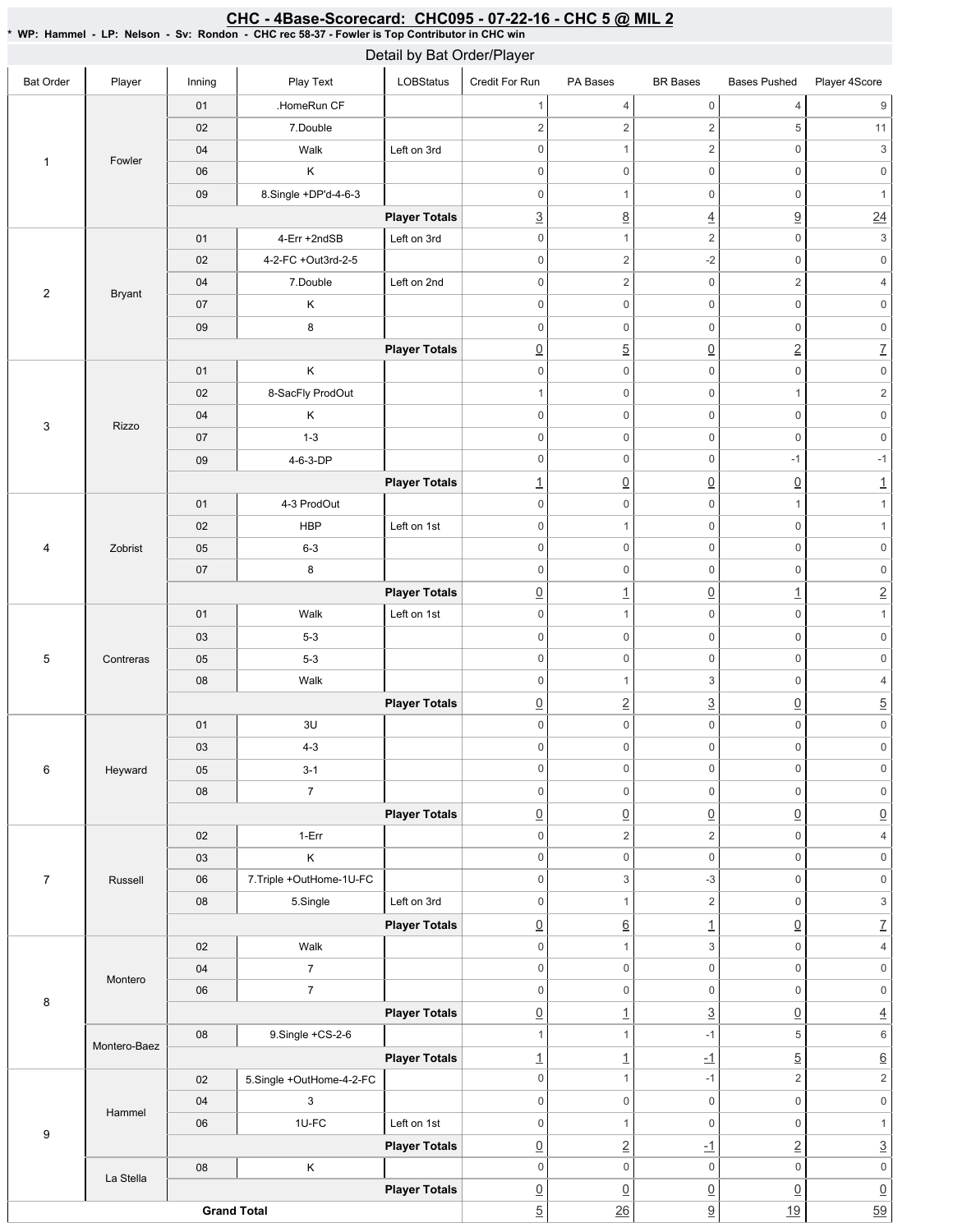#### Bat Order | Player | Inning | PlayText | LOBStatus Credit For Run PA Bases BR Bases Bases Pushed Player 4Score 1 | Fowler 01 .HomeRun CF 02 7.Double 04 | Walk Left on 3rd 06 | K 09 8.Single +DP'd-4-6-3 **Player Totals** 2 Bryant 01 4-Err +2ndSB Left on 3rd 02 4-2-FC +Out3rd-2-5 04 7.Double Left on 2nd 07 K 09 8 **Player Totals** 3 Rizzo 01 K 02 8-SacFly ProdOut 04 K 07 1-3 09 4-6-3-DP **Player Totals** 4 Zobrist 01 4-3 ProdOut 02 | HBP Left on 1st 05 6-3 07 8 **Player Totals** 5 Contreras 01 | Walk Left on 1st 03 5-3 05 5-3 08 | Walk **Player Totals** 6 Heyward 01 3U 03 4-3 05 3-1 08 7 **Player Totals** 7 Russell 02 1-Err 03 K 06 7.Triple +OutHome-1U-FC 08 | 5.Single | Left on 3rd **Player Totals** 8 Montero 02 Walk 04 7 06 7 **Player Totals** Montero-Baez 08 9.Single +CS-2-6 **Player Totals** 9 Hammel 02 5.Single +OutHome-4-2-FC 04 3 06 | 1U-FC | Left on 1st **Player Totals** La Stella 08 K **Player Totals Grand Total** 1 4 0 4 9 2 2 2 5 11 0 1 2 0 3 0 0 0 0 0 0 0 0 1 0 1  $\frac{3}{2}$  8 4 9 24 0 1 2 0 3 0  $2$  -2 0 0  $0 \qquad \qquad 2 \qquad \qquad 0 \qquad \qquad 2 \qquad \qquad 4$ 0 0 0 0 0 0 0 0 0 0 0 0 0 5 0 2 7 0 0 0 0 0 0 1 0 0 1 2 0 0 0 0 0 0 0 0 0 0 0 0 0 0 -1 -1 1 0 0 0 0 1  $0 \qquad 0 \qquad 0 \qquad 1 \qquad 1$ 0 0 0 1 0 0 0 0 0 0 0 0 0 0 0 0  $\boxed{0}$  1  $\boxed{0}$  1 2 0 0 1 0 1 0 0 0 0 0 0 0 0 0 0 0 0 0 1 3 0 4  $\boxed{0}$  2  $\boxed{3}$   $\boxed{0}$  5 0 0 0 0 0 0 0 0 0 0 0 0 0 0 0 0 0 0 0 0 0 0 0 0  $\overline{0}$   $\overline{0}$   $\overline{0}$   $\overline{0}$   $\overline{0}$   $\overline{0}$   $\overline{0}$  $0 \qquad \qquad 2 \qquad \qquad 2 \qquad \qquad 0 \qquad \qquad 4$ 0 0 0 0 0 0 0  $3$  -3 0 0 0 1 2 0 3 <u>0 6 1 0 7 1</u> 0 1 3 0 4 0 0 0 0 0 0 0 0 0 0 0 0  $\boxed{0}$  1  $\boxed{3}$   $\boxed{0}$  4 1  $1$  -1 5 6  $\frac{1}{1}$   $\frac{1}{1}$   $\frac{1}{1}$   $\frac{5}{1}$   $\frac{6}{1}$ 0  $1$  -1 2 2 2 0 0 0 0 0 0 0 0 1 0 1  $\boxed{0}$   $\boxed{2}$   $\boxed{1}$   $\boxed{2}$   $\boxed{3}$ 0 0 0 0 0 0  $\overline{0}$   $\overline{0}$   $\overline{0}$   $\overline{0}$   $\overline{0}$   $\overline{0}$   $\overline{0}$  $\frac{5}{26}$  26 9 19 59 Detail by Bat Order/Player

### CHC - 4Base-Scorecard: CHC095 - 07-22-16 - CHC 5 @ MIL 2

\* WP: Hammel - LP: Nelson - Sv: Rondon - CHC rec 58-37 - Fowler is Top Contributor in CHC win